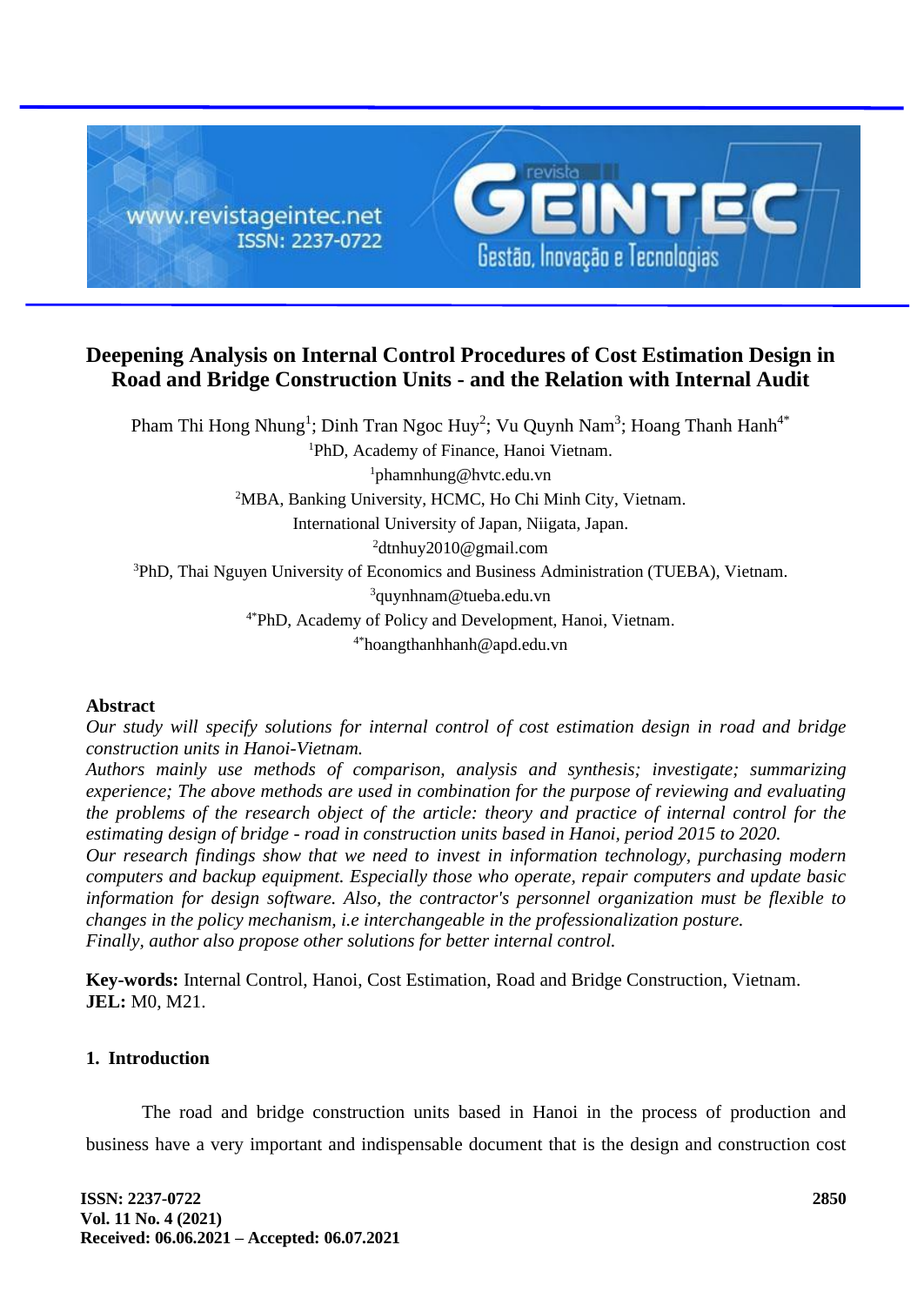

# **Deepening Analysis on Internal Control Procedures of Cost Estimation Design in Road and Bridge Construction Units - and the Relation with Internal Audit**

Pham Thi Hong Nhung<sup>1</sup>; Dinh Tran Ngoc Huy<sup>2</sup>; Vu Quynh Nam<sup>3</sup>; Hoang Thanh Hanh<sup>4\*</sup> <sup>1</sup>PhD, Academy of Finance, Hanoi Vietnam. <sup>1</sup>phamnhung@hvtc.edu.vn <sup>2</sup>MBA, Banking University, HCMC, Ho Chi Minh City, Vietnam. International University of Japan, Niigata, Japan. <sup>2</sup>dtnhuy2010@gmail.com <sup>3</sup>PhD, Thai Nguyen University of Economics and Business Administration (TUEBA), Vietnam. <sup>3</sup>quynhnam@tueba.edu.vn 4\*PhD, Academy of Policy and Development, Hanoi, Vietnam. 4\*hoangthanhhanh@apd.edu.vn

## **Abstract**

*Our study will specify solutions for internal control of cost estimation design in road and bridge construction units in Hanoi-Vietnam.*

*Authors mainly use methods of comparison, analysis and synthesis; investigate; summarizing experience; The above methods are used in combination for the purpose of reviewing and evaluating the problems of the research object of the article: theory and practice of internal control for the estimating design of bridge - road in construction units based in Hanoi, period 2015 to 2020. Our research findings show that we need to invest in information technology, purchasing modern* 

*computers and backup equipment. Especially those who operate, repair computers and update basic information for design software. Also, the contractor's personnel organization must be flexible to changes in the policy mechanism, i.e interchangeable in the professionalization posture. Finally, author also propose other solutions for better internal control.*

**Key-words:** Internal Control, Hanoi, Cost Estimation, Road and Bridge Construction, Vietnam. **JEL:** M0, M21.

## **1. Introduction**

The road and bridge construction units based in Hanoi in the process of production and business have a very important and indispensable document that is the design and construction cost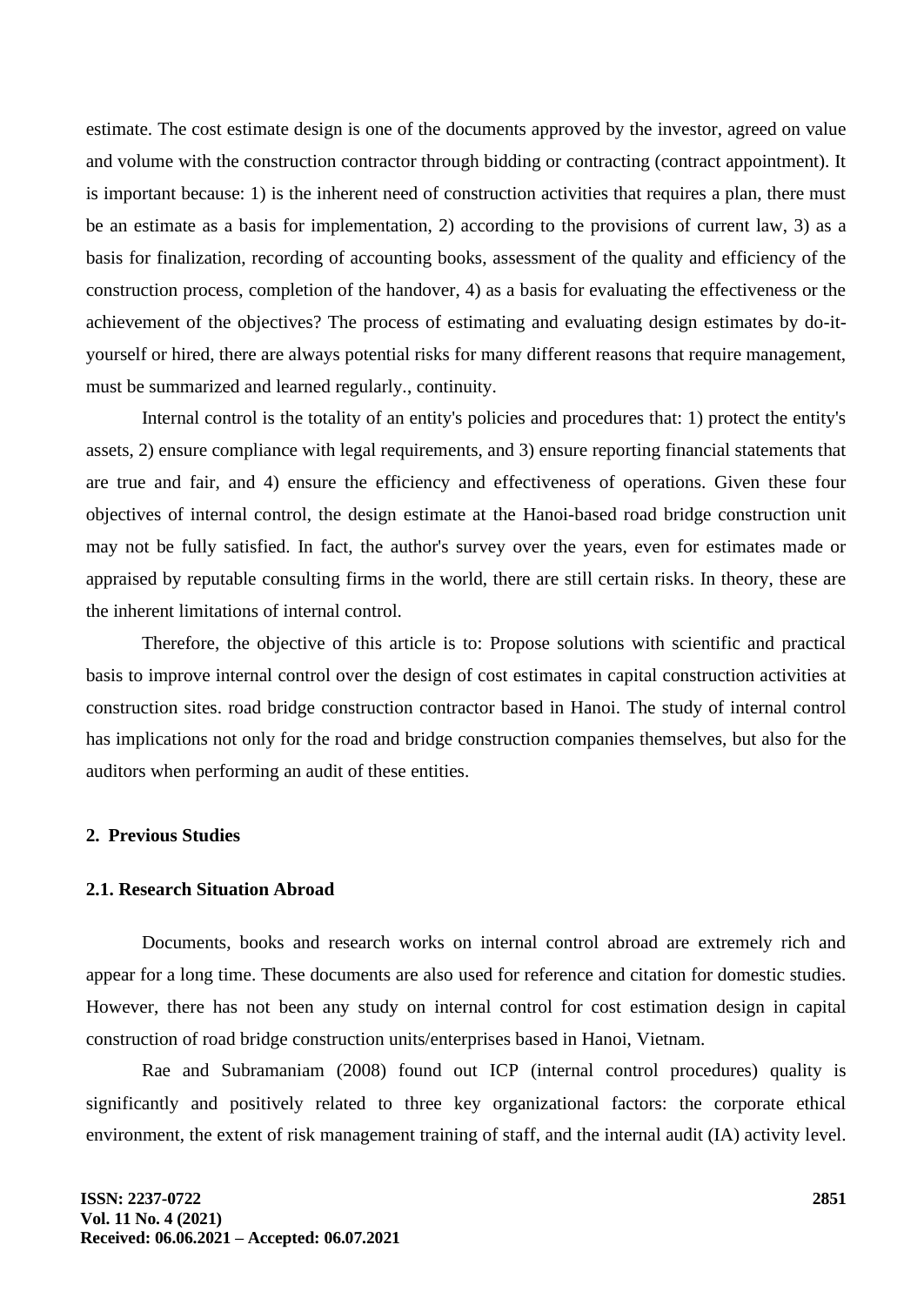estimate. The cost estimate design is one of the documents approved by the investor, agreed on value and volume with the construction contractor through bidding or contracting (contract appointment). It is important because: 1) is the inherent need of construction activities that requires a plan, there must be an estimate as a basis for implementation, 2) according to the provisions of current law, 3) as a basis for finalization, recording of accounting books, assessment of the quality and efficiency of the construction process, completion of the handover, 4) as a basis for evaluating the effectiveness or the achievement of the objectives? The process of estimating and evaluating design estimates by do-ityourself or hired, there are always potential risks for many different reasons that require management, must be summarized and learned regularly., continuity.

Internal control is the totality of an entity's policies and procedures that: 1) protect the entity's assets, 2) ensure compliance with legal requirements, and 3) ensure reporting financial statements that are true and fair, and 4) ensure the efficiency and effectiveness of operations. Given these four objectives of internal control, the design estimate at the Hanoi-based road bridge construction unit may not be fully satisfied. In fact, the author's survey over the years, even for estimates made or appraised by reputable consulting firms in the world, there are still certain risks. In theory, these are the inherent limitations of internal control.

Therefore, the objective of this article is to: Propose solutions with scientific and practical basis to improve internal control over the design of cost estimates in capital construction activities at construction sites. road bridge construction contractor based in Hanoi. The study of internal control has implications not only for the road and bridge construction companies themselves, but also for the auditors when performing an audit of these entities.

#### **2. Previous Studies**

#### **2.1. Research Situation Abroad**

Documents, books and research works on internal control abroad are extremely rich and appear for a long time. These documents are also used for reference and citation for domestic studies. However, there has not been any study on internal control for cost estimation design in capital construction of road bridge construction units/enterprises based in Hanoi, Vietnam.

Rae and Subramaniam (2008) found out ICP (internal control procedures) quality is significantly and positively related to three key organizational factors: the corporate ethical environment, the extent of risk management training of staff, and the internal audit (IA) activity level.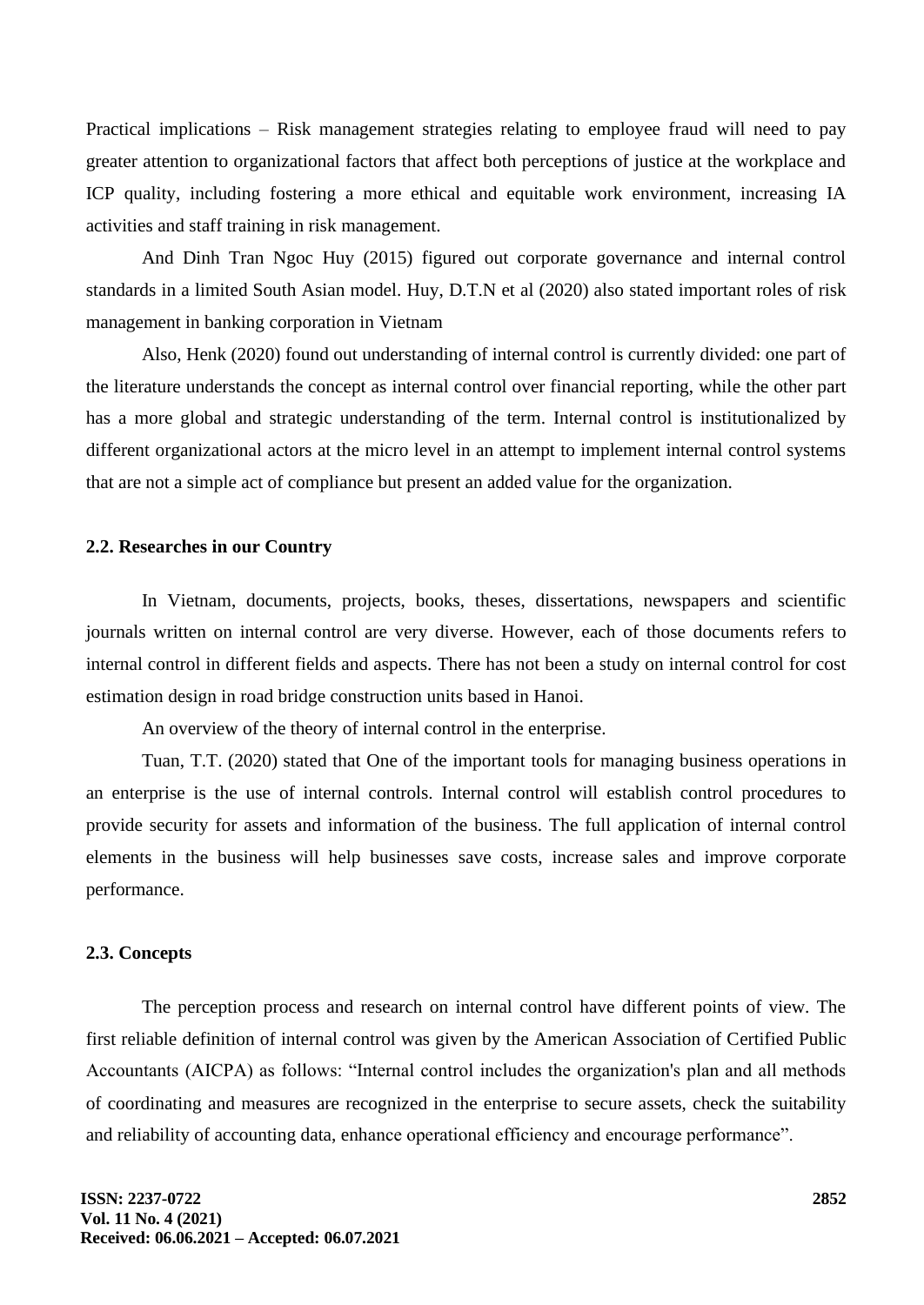Practical implications – Risk management strategies relating to employee fraud will need to pay greater attention to organizational factors that affect both perceptions of justice at the workplace and ICP quality, including fostering a more ethical and equitable work environment, increasing IA activities and staff training in risk management.

And Dinh Tran Ngoc Huy (2015) figured out corporate governance and internal control standards in a limited South Asian model. Huy, D.T.N et al (2020) also stated important roles of risk management in banking corporation in Vietnam

Also, Henk (2020) found out understanding of internal control is currently divided: one part of the literature understands the concept as internal control over financial reporting, while the other part has a more global and strategic understanding of the term. Internal control is institutionalized by different organizational actors at the micro level in an attempt to implement internal control systems that are not a simple act of compliance but present an added value for the organization.

#### **2.2. Researches in our Country**

In Vietnam, documents, projects, books, theses, dissertations, newspapers and scientific journals written on internal control are very diverse. However, each of those documents refers to internal control in different fields and aspects. There has not been a study on internal control for cost estimation design in road bridge construction units based in Hanoi.

An overview of the theory of internal control in the enterprise.

Tuan, T.T. (2020) stated that One of the important tools for managing business operations in an enterprise is the use of internal controls. Internal control will establish control procedures to provide security for assets and information of the business. The full application of internal control elements in the business will help businesses save costs, increase sales and improve corporate performance.

#### **2.3. Concepts**

The perception process and research on internal control have different points of view. The first reliable definition of internal control was given by the American Association of Certified Public Accountants (AICPA) as follows: "Internal control includes the organization's plan and all methods of coordinating and measures are recognized in the enterprise to secure assets, check the suitability and reliability of accounting data, enhance operational efficiency and encourage performance".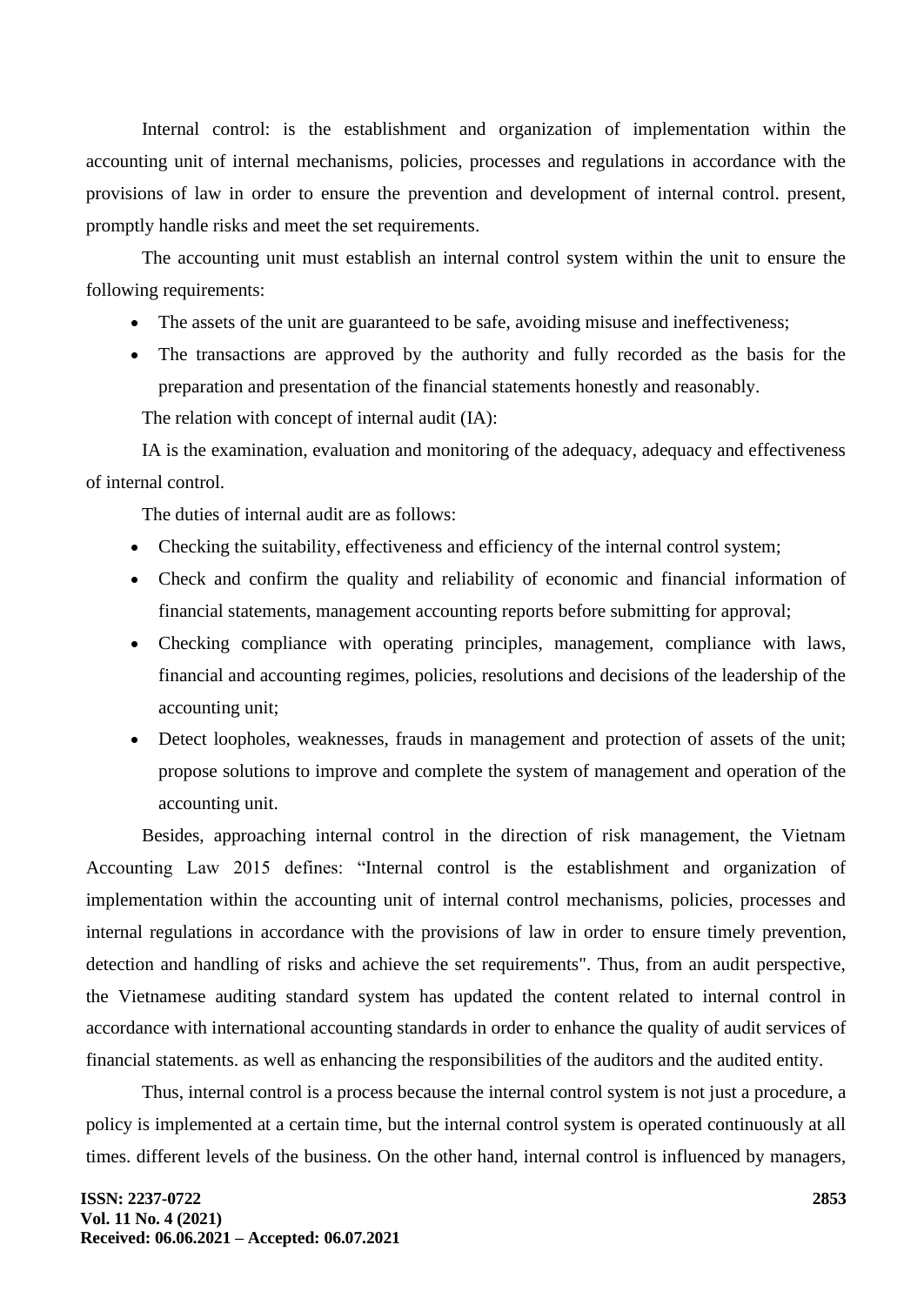Internal control: is the establishment and organization of implementation within the accounting unit of internal mechanisms, policies, processes and regulations in accordance with the provisions of law in order to ensure the prevention and development of internal control. present, promptly handle risks and meet the set requirements.

The accounting unit must establish an internal control system within the unit to ensure the following requirements:

- The assets of the unit are guaranteed to be safe, avoiding misuse and ineffectiveness;
- The transactions are approved by the authority and fully recorded as the basis for the preparation and presentation of the financial statements honestly and reasonably.

The relation with concept of internal audit (IA):

IA is the examination, evaluation and monitoring of the adequacy, adequacy and effectiveness of internal control.

The duties of internal audit are as follows:

- Checking the suitability, effectiveness and efficiency of the internal control system;
- Check and confirm the quality and reliability of economic and financial information of financial statements, management accounting reports before submitting for approval;
- Checking compliance with operating principles, management, compliance with laws, financial and accounting regimes, policies, resolutions and decisions of the leadership of the accounting unit;
- Detect loopholes, weaknesses, frauds in management and protection of assets of the unit; propose solutions to improve and complete the system of management and operation of the accounting unit.

Besides, approaching internal control in the direction of risk management, the Vietnam Accounting Law 2015 defines: "Internal control is the establishment and organization of implementation within the accounting unit of internal control mechanisms, policies, processes and internal regulations in accordance with the provisions of law in order to ensure timely prevention, detection and handling of risks and achieve the set requirements". Thus, from an audit perspective, the Vietnamese auditing standard system has updated the content related to internal control in accordance with international accounting standards in order to enhance the quality of audit services of financial statements. as well as enhancing the responsibilities of the auditors and the audited entity.

Thus, internal control is a process because the internal control system is not just a procedure, a policy is implemented at a certain time, but the internal control system is operated continuously at all times. different levels of the business. On the other hand, internal control is influenced by managers,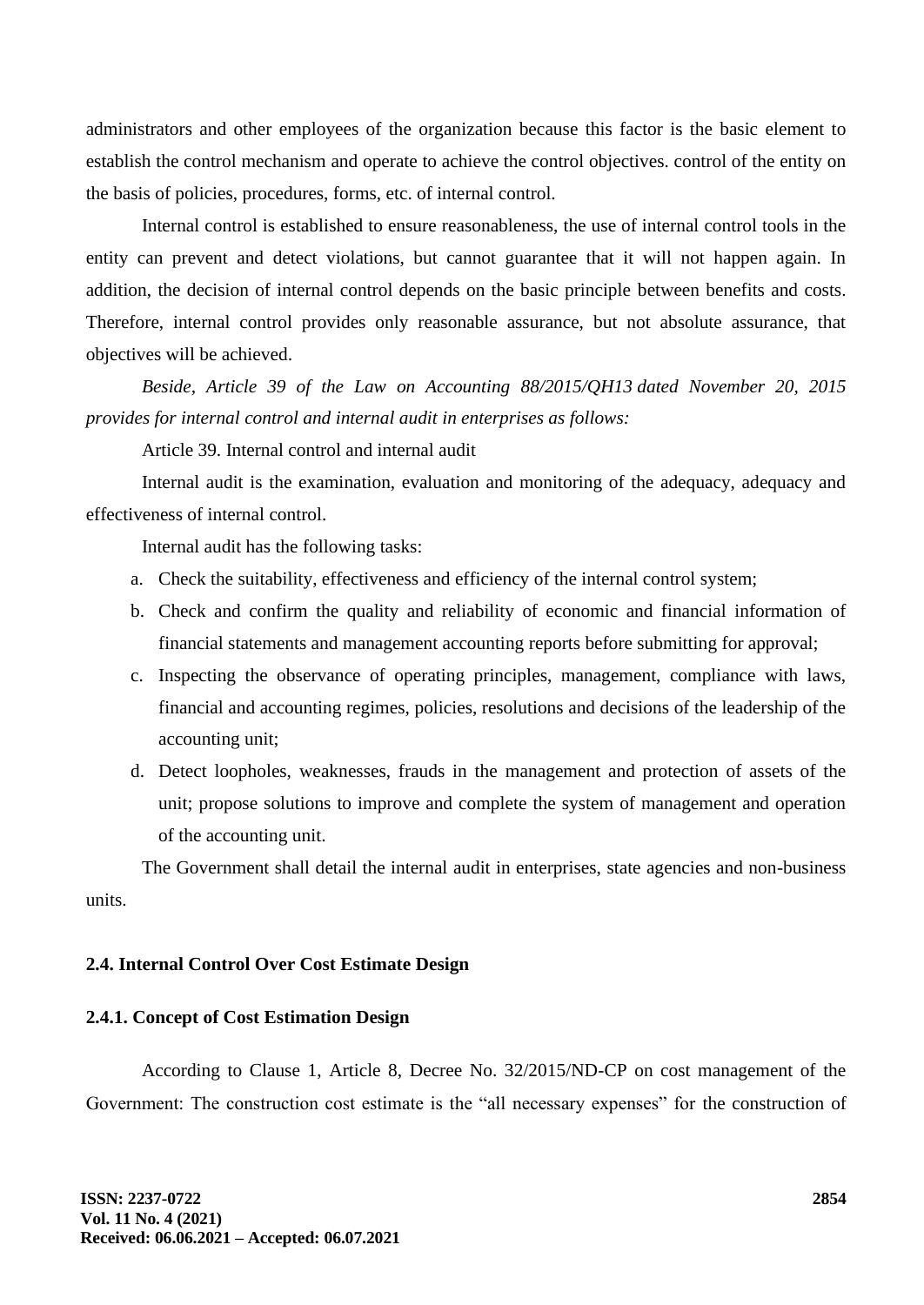administrators and other employees of the organization because this factor is the basic element to establish the control mechanism and operate to achieve the control objectives. control of the entity on the basis of policies, procedures, forms, etc. of internal control.

Internal control is established to ensure reasonableness, the use of internal control tools in the entity can prevent and detect violations, but cannot guarantee that it will not happen again. In addition, the decision of internal control depends on the basic principle between benefits and costs. Therefore, internal control provides only reasonable assurance, but not absolute assurance, that objectives will be achieved.

*Beside, Article 39 of the Law on Accounting 88/2015/QH13 dated November 20, 2015 provides for internal control and internal audit in enterprises as follows:*

Article 39. Internal control and internal audit

Internal audit is the examination, evaluation and monitoring of the adequacy, adequacy and effectiveness of internal control.

Internal audit has the following tasks:

- a. Check the suitability, effectiveness and efficiency of the internal control system;
- b. Check and confirm the quality and reliability of economic and financial information of financial statements and management accounting reports before submitting for approval;
- c. Inspecting the observance of operating principles, management, compliance with laws, financial and accounting regimes, policies, resolutions and decisions of the leadership of the accounting unit;
- d. Detect loopholes, weaknesses, frauds in the management and protection of assets of the unit; propose solutions to improve and complete the system of management and operation of the accounting unit.

The Government shall detail the internal audit in enterprises, state agencies and non-business units.

#### **2.4. Internal Control Over Cost Estimate Design**

#### **2.4.1. Concept of Cost Estimation Design**

According to Clause 1, Article 8, Decree No. 32/2015/ND-CP on cost management of the Government: The construction cost estimate is the "all necessary expenses" for the construction of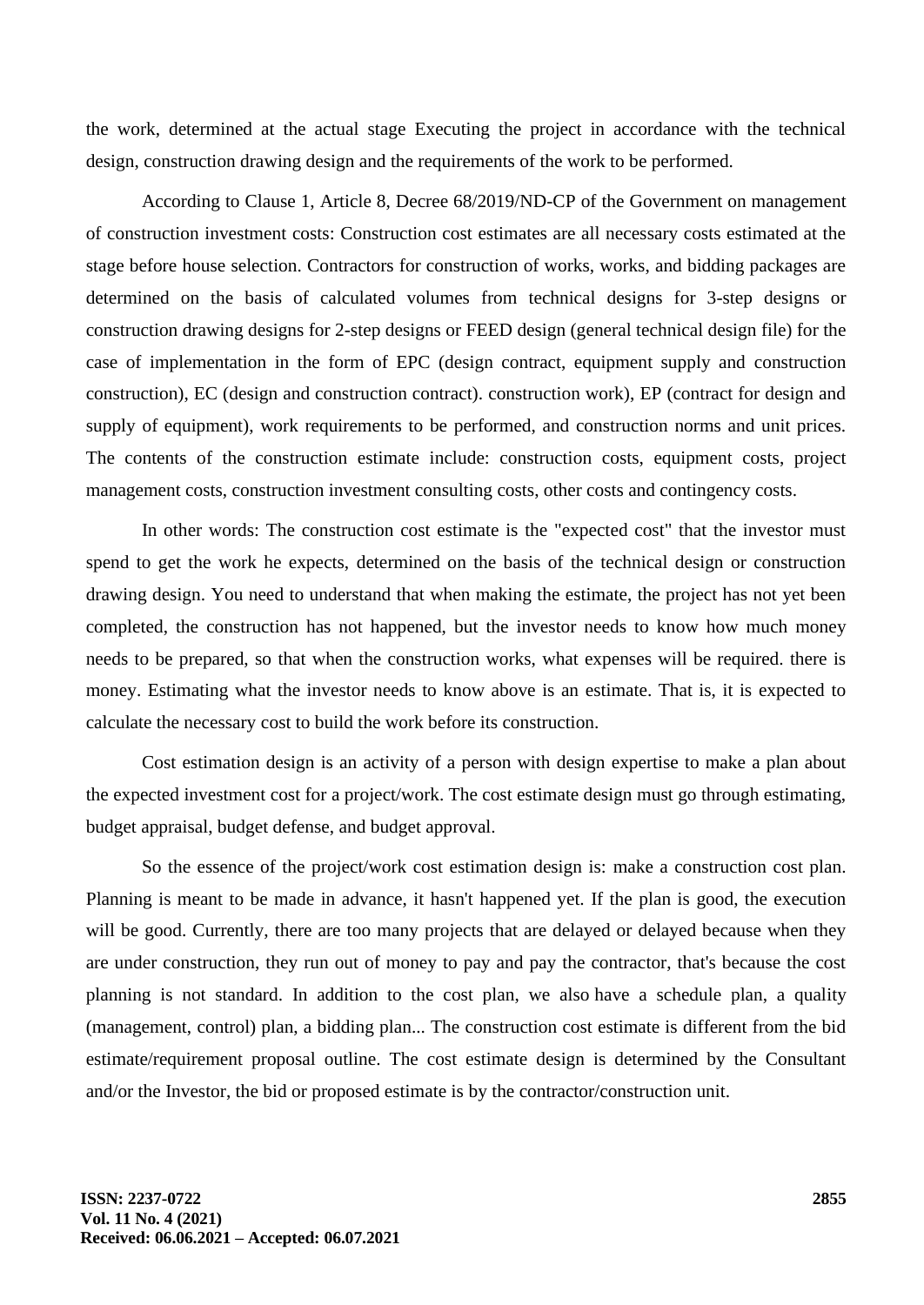the work, determined at the actual stage Executing the project in accordance with the technical design, construction drawing design and the requirements of the work to be performed.

According to Clause 1, Article 8, Decree 68/2019/ND-CP of the Government on management of construction investment costs: Construction cost estimates are all necessary costs estimated at the stage before house selection. Contractors for construction of works, works, and bidding packages are determined on the basis of calculated volumes from technical designs for 3-step designs or construction drawing designs for 2-step designs or FEED design (general technical design file) for the case of implementation in the form of EPC (design contract, equipment supply and construction construction), EC (design and construction contract). construction work), EP (contract for design and supply of equipment), work requirements to be performed, and construction norms and unit prices. The contents of the construction estimate include: construction costs, equipment costs, project management costs, construction investment consulting costs, other costs and contingency costs.

In other words: The construction cost estimate is the "expected cost" that the investor must spend to get the work he expects, determined on the basis of the technical design or construction drawing design. You need to understand that when making the estimate, the project has not yet been completed, the construction has not happened, but the investor needs to know how much money needs to be prepared, so that when the construction works, what expenses will be required. there is money. Estimating what the investor needs to know above is an estimate. That is, it is expected to calculate the necessary cost to build the work before its construction.

Cost estimation design is an activity of a person with design expertise to make a plan about the expected investment cost for a project/work. The cost estimate design must go through estimating, budget appraisal, budget defense, and budget approval.

So the essence of the project/work cost estimation design is: make a construction cost plan. Planning is meant to be made in advance, it hasn't happened yet. If the plan is good, the execution will be good. Currently, there are too many projects that are delayed or delayed because when they are under construction, they run out of money to pay and pay the contractor, that's because the cost planning is not standard. In addition to the cost plan, we also have a schedule plan, a quality (management, control) plan, a bidding plan... The construction cost estimate is different from the bid estimate/requirement proposal outline. The cost estimate design is determined by the Consultant and/or the Investor, the bid or proposed estimate is by the contractor/construction unit.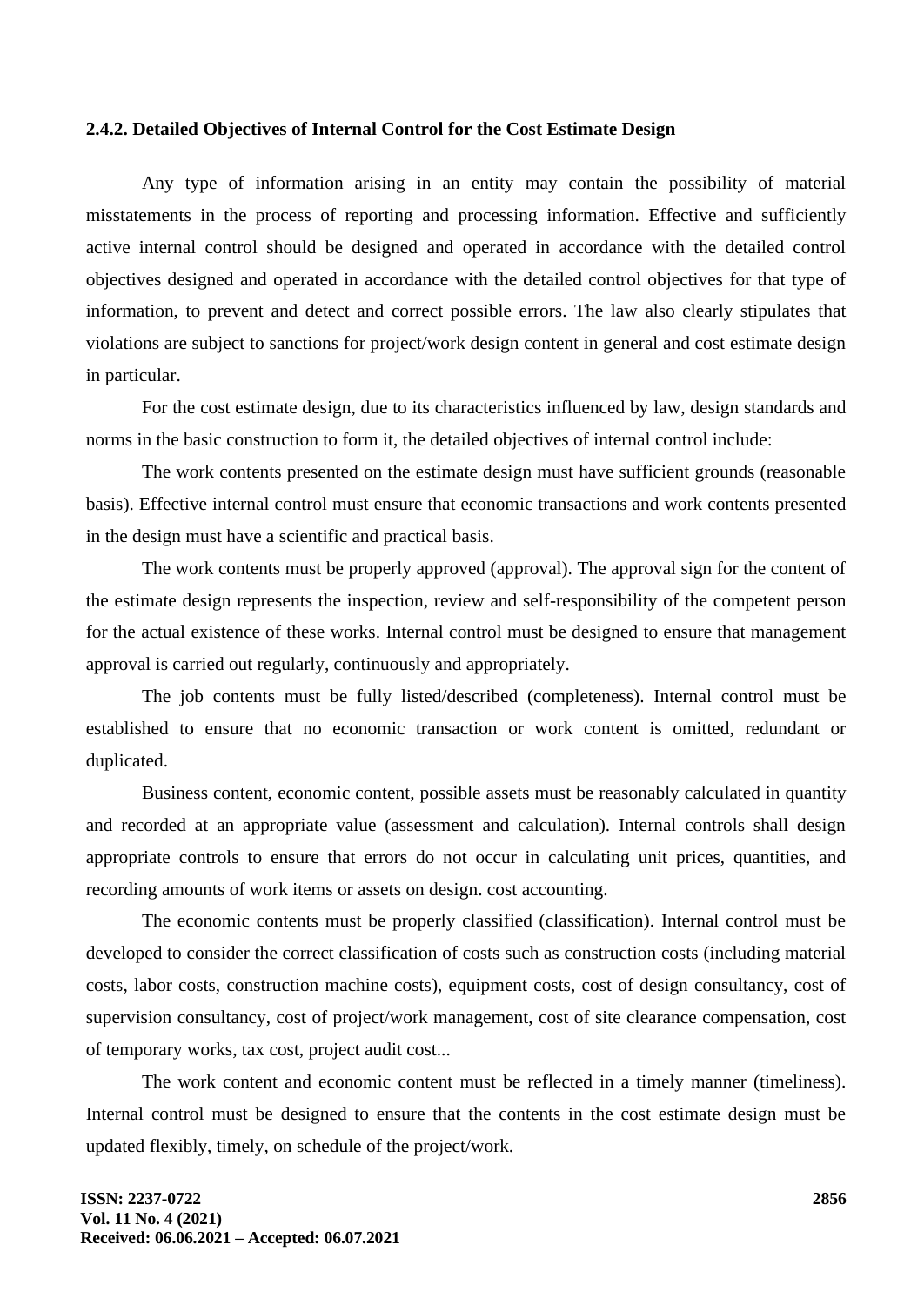## **2.4.2. Detailed Objectives of Internal Control for the Cost Estimate Design**

Any type of information arising in an entity may contain the possibility of material misstatements in the process of reporting and processing information. Effective and sufficiently active internal control should be designed and operated in accordance with the detailed control objectives designed and operated in accordance with the detailed control objectives for that type of information, to prevent and detect and correct possible errors. The law also clearly stipulates that violations are subject to sanctions for project/work design content in general and cost estimate design in particular.

For the cost estimate design, due to its characteristics influenced by law, design standards and norms in the basic construction to form it, the detailed objectives of internal control include:

The work contents presented on the estimate design must have sufficient grounds (reasonable basis). Effective internal control must ensure that economic transactions and work contents presented in the design must have a scientific and practical basis.

The work contents must be properly approved (approval). The approval sign for the content of the estimate design represents the inspection, review and self-responsibility of the competent person for the actual existence of these works. Internal control must be designed to ensure that management approval is carried out regularly, continuously and appropriately.

The job contents must be fully listed/described (completeness). Internal control must be established to ensure that no economic transaction or work content is omitted, redundant or duplicated.

Business content, economic content, possible assets must be reasonably calculated in quantity and recorded at an appropriate value (assessment and calculation). Internal controls shall design appropriate controls to ensure that errors do not occur in calculating unit prices, quantities, and recording amounts of work items or assets on design. cost accounting.

The economic contents must be properly classified (classification). Internal control must be developed to consider the correct classification of costs such as construction costs (including material costs, labor costs, construction machine costs), equipment costs, cost of design consultancy, cost of supervision consultancy, cost of project/work management, cost of site clearance compensation, cost of temporary works, tax cost, project audit cost...

The work content and economic content must be reflected in a timely manner (timeliness). Internal control must be designed to ensure that the contents in the cost estimate design must be updated flexibly, timely, on schedule of the project/work.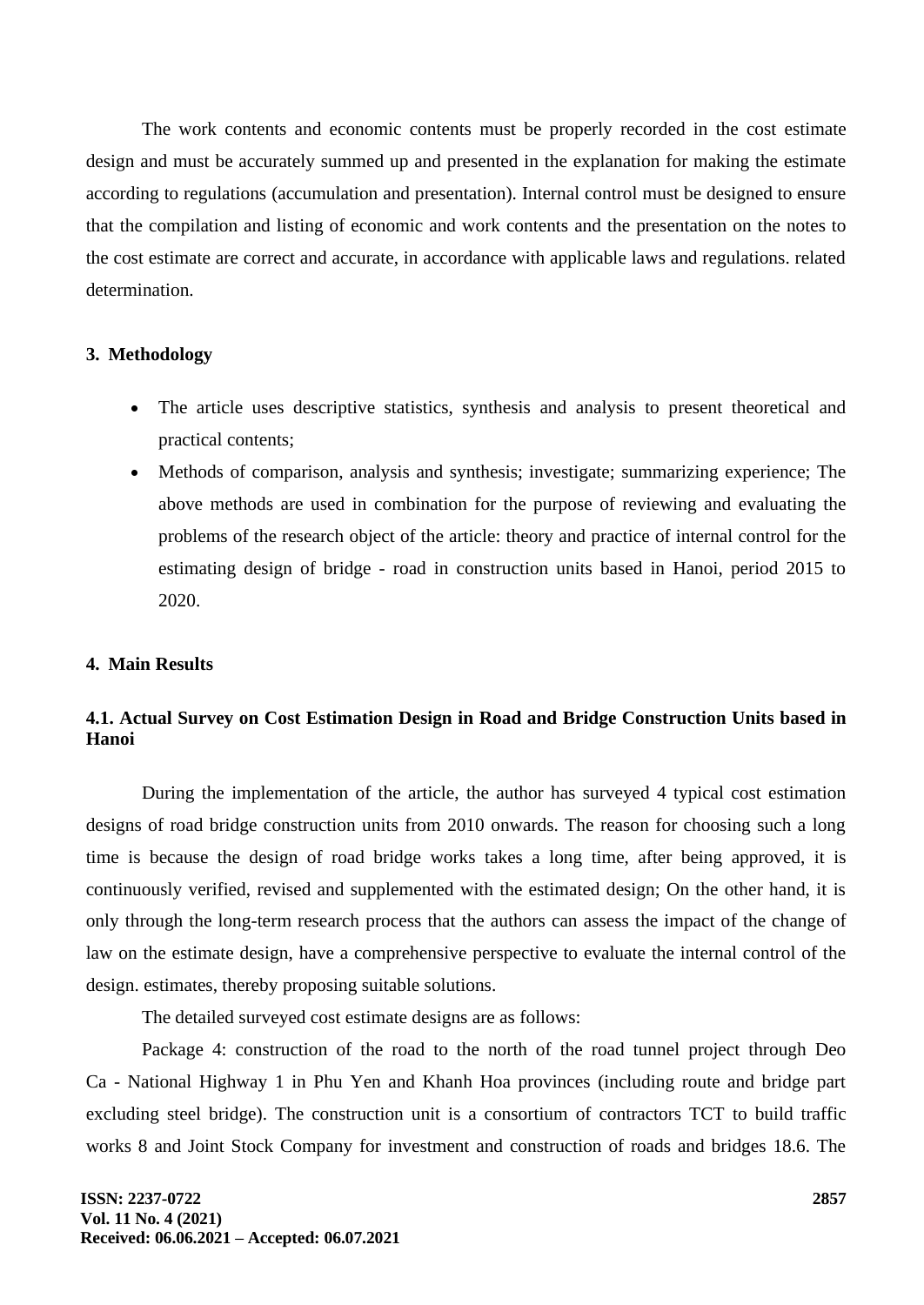The work contents and economic contents must be properly recorded in the cost estimate design and must be accurately summed up and presented in the explanation for making the estimate according to regulations (accumulation and presentation). Internal control must be designed to ensure that the compilation and listing of economic and work contents and the presentation on the notes to the cost estimate are correct and accurate, in accordance with applicable laws and regulations. related determination.

#### **3. Methodology**

- The article uses descriptive statistics, synthesis and analysis to present theoretical and practical contents;
- Methods of comparison, analysis and synthesis; investigate; summarizing experience; The above methods are used in combination for the purpose of reviewing and evaluating the problems of the research object of the article: theory and practice of internal control for the estimating design of bridge - road in construction units based in Hanoi, period 2015 to 2020.

## **4. Main Results**

## **4.1. Actual Survey on Cost Estimation Design in Road and Bridge Construction Units based in Hanoi**

During the implementation of the article, the author has surveyed 4 typical cost estimation designs of road bridge construction units from 2010 onwards. The reason for choosing such a long time is because the design of road bridge works takes a long time, after being approved, it is continuously verified, revised and supplemented with the estimated design; On the other hand, it is only through the long-term research process that the authors can assess the impact of the change of law on the estimate design, have a comprehensive perspective to evaluate the internal control of the design. estimates, thereby proposing suitable solutions.

The detailed surveyed cost estimate designs are as follows:

Package 4: construction of the road to the north of the road tunnel project through Deo Ca - National Highway 1 in Phu Yen and Khanh Hoa provinces (including route and bridge part excluding steel bridge). The construction unit is a consortium of contractors TCT to build traffic works 8 and Joint Stock Company for investment and construction of roads and bridges 18.6. The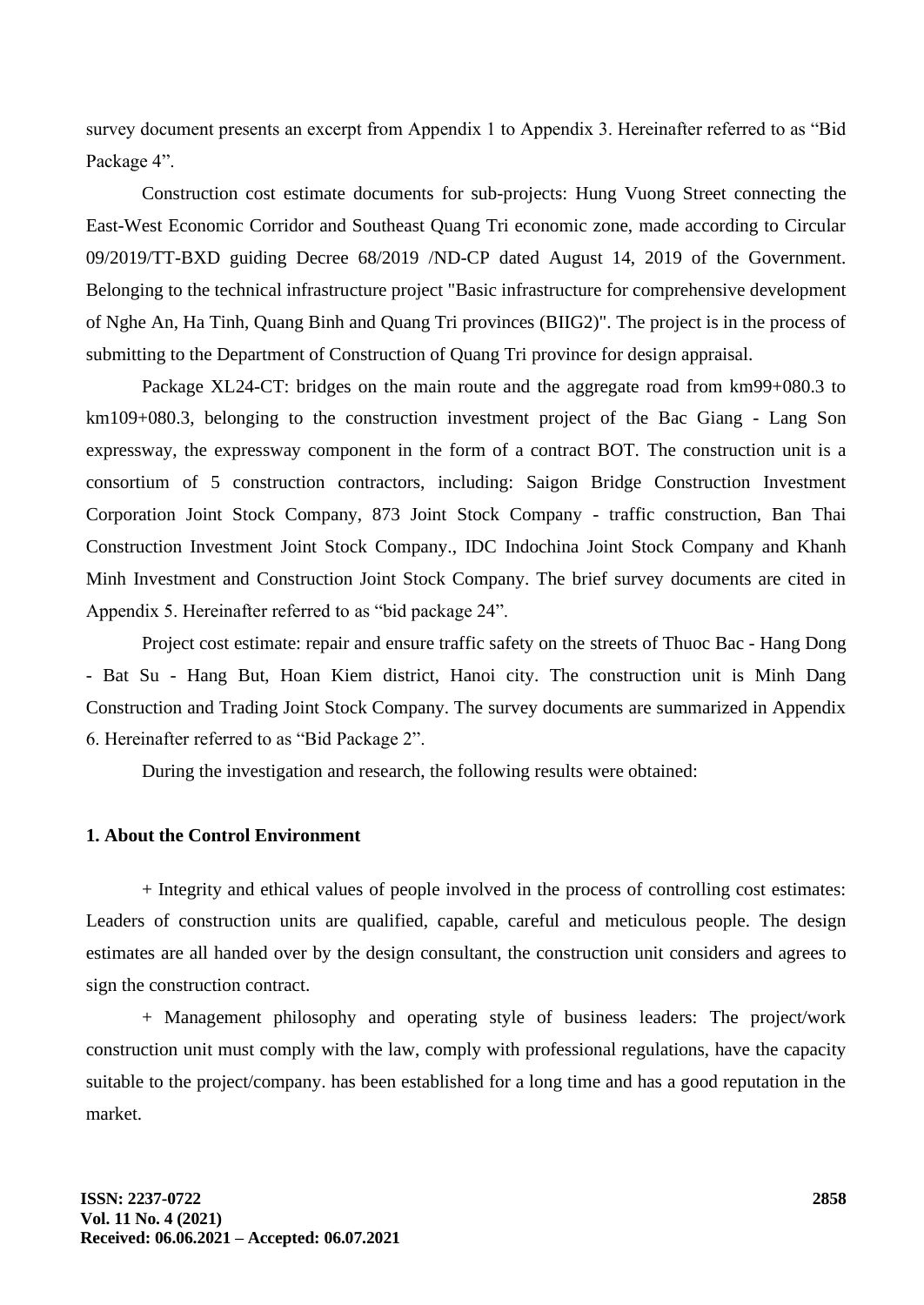survey document presents an excerpt from Appendix 1 to Appendix 3. Hereinafter referred to as "Bid Package 4".

Construction cost estimate documents for sub-projects: Hung Vuong Street connecting the East-West Economic Corridor and Southeast Quang Tri economic zone, made according to Circular 09/2019/TT-BXD guiding Decree 68/2019 /ND-CP dated August 14, 2019 of the Government. Belonging to the technical infrastructure project "Basic infrastructure for comprehensive development of Nghe An, Ha Tinh, Quang Binh and Quang Tri provinces (BIIG2)". The project is in the process of submitting to the Department of Construction of Quang Tri province for design appraisal.

Package XL24-CT: bridges on the main route and the aggregate road from km99+080.3 to km109+080.3, belonging to the construction investment project of the Bac Giang - Lang Son expressway, the expressway component in the form of a contract BOT. The construction unit is a consortium of 5 construction contractors, including: Saigon Bridge Construction Investment Corporation Joint Stock Company, 873 Joint Stock Company - traffic construction, Ban Thai Construction Investment Joint Stock Company., IDC Indochina Joint Stock Company and Khanh Minh Investment and Construction Joint Stock Company. The brief survey documents are cited in Appendix 5. Hereinafter referred to as "bid package 24".

Project cost estimate: repair and ensure traffic safety on the streets of Thuoc Bac - Hang Dong - Bat Su - Hang But, Hoan Kiem district, Hanoi city. The construction unit is Minh Dang Construction and Trading Joint Stock Company. The survey documents are summarized in Appendix 6. Hereinafter referred to as "Bid Package 2".

During the investigation and research, the following results were obtained:

#### **1. About the Control Environment**

+ Integrity and ethical values of people involved in the process of controlling cost estimates: Leaders of construction units are qualified, capable, careful and meticulous people. The design estimates are all handed over by the design consultant, the construction unit considers and agrees to sign the construction contract.

+ Management philosophy and operating style of business leaders: The project/work construction unit must comply with the law, comply with professional regulations, have the capacity suitable to the project/company. has been established for a long time and has a good reputation in the market.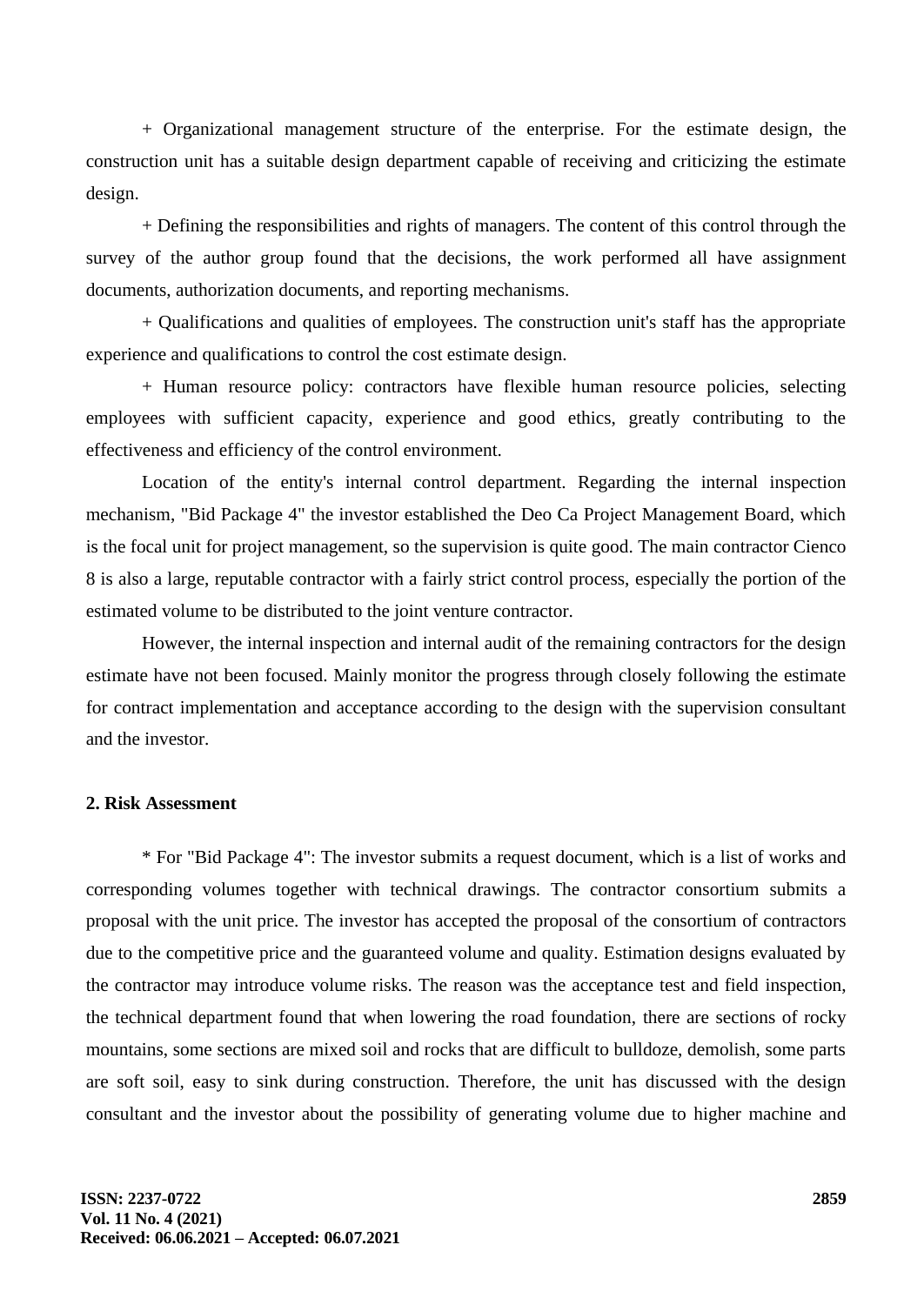+ Organizational management structure of the enterprise. For the estimate design, the construction unit has a suitable design department capable of receiving and criticizing the estimate design.

+ Defining the responsibilities and rights of managers. The content of this control through the survey of the author group found that the decisions, the work performed all have assignment documents, authorization documents, and reporting mechanisms.

+ Qualifications and qualities of employees. The construction unit's staff has the appropriate experience and qualifications to control the cost estimate design.

+ Human resource policy: contractors have flexible human resource policies, selecting employees with sufficient capacity, experience and good ethics, greatly contributing to the effectiveness and efficiency of the control environment.

Location of the entity's internal control department. Regarding the internal inspection mechanism, "Bid Package 4" the investor established the Deo Ca Project Management Board, which is the focal unit for project management, so the supervision is quite good. The main contractor Cienco 8 is also a large, reputable contractor with a fairly strict control process, especially the portion of the estimated volume to be distributed to the joint venture contractor.

However, the internal inspection and internal audit of the remaining contractors for the design estimate have not been focused. Mainly monitor the progress through closely following the estimate for contract implementation and acceptance according to the design with the supervision consultant and the investor.

#### **2. Risk Assessment**

\* For "Bid Package 4": The investor submits a request document, which is a list of works and corresponding volumes together with technical drawings. The contractor consortium submits a proposal with the unit price. The investor has accepted the proposal of the consortium of contractors due to the competitive price and the guaranteed volume and quality. Estimation designs evaluated by the contractor may introduce volume risks. The reason was the acceptance test and field inspection, the technical department found that when lowering the road foundation, there are sections of rocky mountains, some sections are mixed soil and rocks that are difficult to bulldoze, demolish, some parts are soft soil, easy to sink during construction. Therefore, the unit has discussed with the design consultant and the investor about the possibility of generating volume due to higher machine and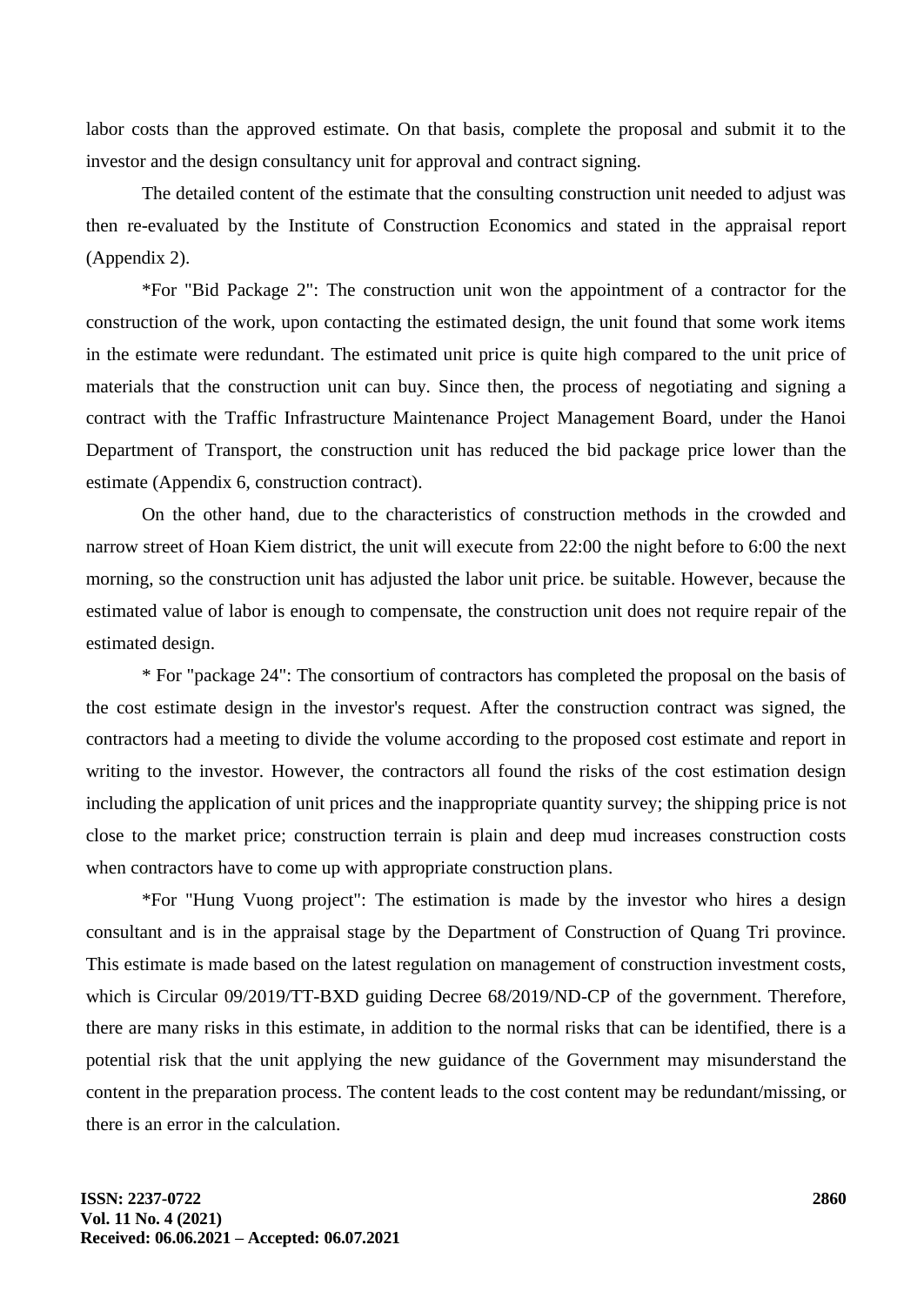labor costs than the approved estimate. On that basis, complete the proposal and submit it to the investor and the design consultancy unit for approval and contract signing.

The detailed content of the estimate that the consulting construction unit needed to adjust was then re-evaluated by the Institute of Construction Economics and stated in the appraisal report (Appendix 2).

\*For "Bid Package 2": The construction unit won the appointment of a contractor for the construction of the work, upon contacting the estimated design, the unit found that some work items in the estimate were redundant. The estimated unit price is quite high compared to the unit price of materials that the construction unit can buy. Since then, the process of negotiating and signing a contract with the Traffic Infrastructure Maintenance Project Management Board, under the Hanoi Department of Transport, the construction unit has reduced the bid package price lower than the estimate (Appendix 6, construction contract).

On the other hand, due to the characteristics of construction methods in the crowded and narrow street of Hoan Kiem district, the unit will execute from 22:00 the night before to 6:00 the next morning, so the construction unit has adjusted the labor unit price. be suitable. However, because the estimated value of labor is enough to compensate, the construction unit does not require repair of the estimated design.

\* For "package 24": The consortium of contractors has completed the proposal on the basis of the cost estimate design in the investor's request. After the construction contract was signed, the contractors had a meeting to divide the volume according to the proposed cost estimate and report in writing to the investor. However, the contractors all found the risks of the cost estimation design including the application of unit prices and the inappropriate quantity survey; the shipping price is not close to the market price; construction terrain is plain and deep mud increases construction costs when contractors have to come up with appropriate construction plans.

\*For "Hung Vuong project": The estimation is made by the investor who hires a design consultant and is in the appraisal stage by the Department of Construction of Quang Tri province. This estimate is made based on the latest regulation on management of construction investment costs, which is Circular 09/2019/TT-BXD guiding Decree 68/2019/ND-CP of the government. Therefore, there are many risks in this estimate, in addition to the normal risks that can be identified, there is a potential risk that the unit applying the new guidance of the Government may misunderstand the content in the preparation process. The content leads to the cost content may be redundant/missing, or there is an error in the calculation.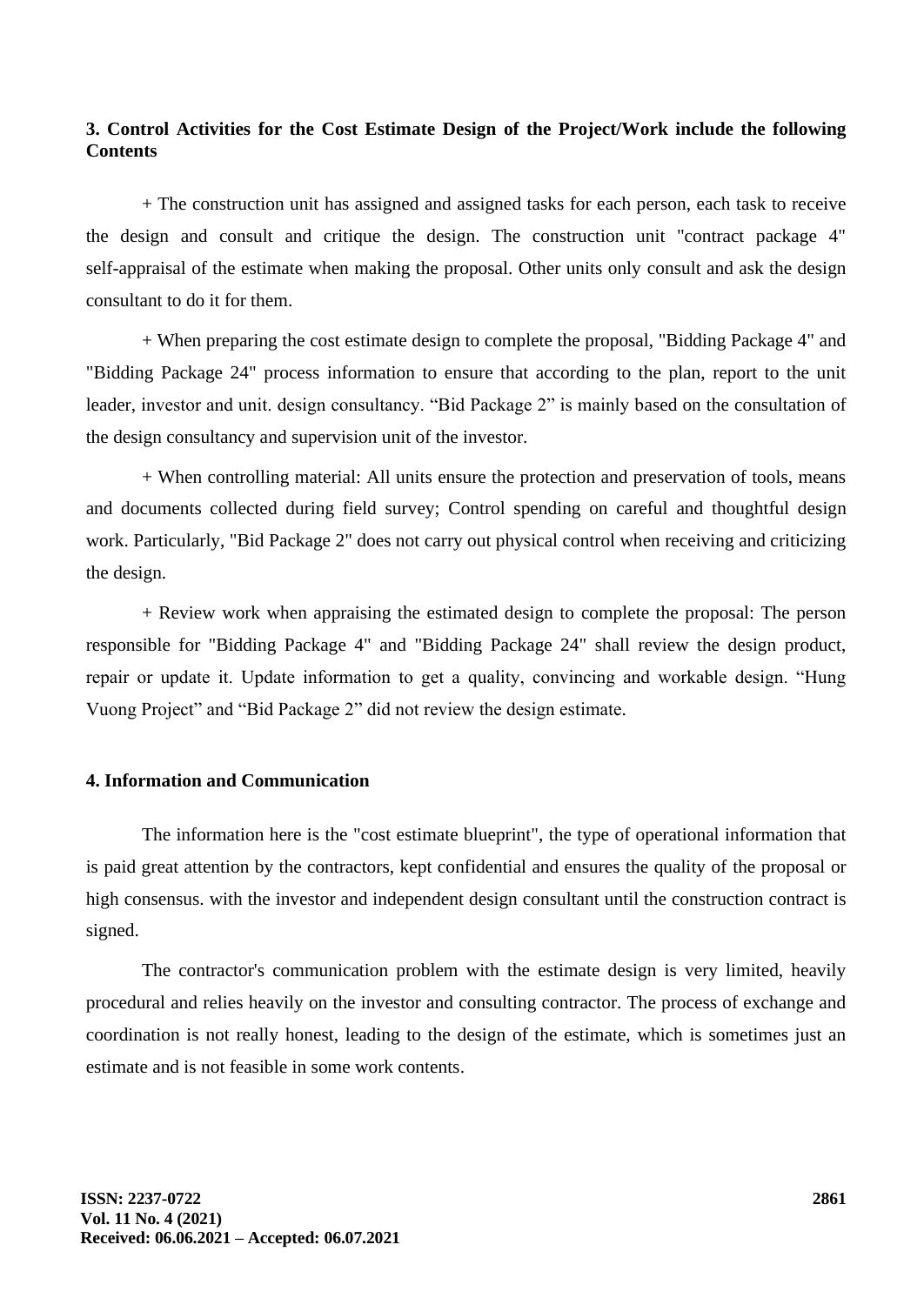## **3. Control Activities for the Cost Estimate Design of the Project/Work include the following Contents**

+ The construction unit has assigned and assigned tasks for each person, each task to receive the design and consult and critique the design. The construction unit "contract package 4" self-appraisal of the estimate when making the proposal. Other units only consult and ask the design consultant to do it for them.

+ When preparing the cost estimate design to complete the proposal, "Bidding Package 4" and "Bidding Package 24" process information to ensure that according to the plan, report to the unit leader, investor and unit. design consultancy. "Bid Package 2" is mainly based on the consultation of the design consultancy and supervision unit of the investor.

+ When controlling material: All units ensure the protection and preservation of tools, means and documents collected during field survey; Control spending on careful and thoughtful design work. Particularly, "Bid Package 2" does not carry out physical control when receiving and criticizing the design.

+ Review work when appraising the estimated design to complete the proposal: The person responsible for "Bidding Package 4" and "Bidding Package 24" shall review the design product, repair or update it. Update information to get a quality, convincing and workable design. "Hung Vuong Project" and "Bid Package 2" did not review the design estimate.

## **4. Information and Communication**

The information here is the "cost estimate blueprint", the type of operational information that is paid great attention by the contractors, kept confidential and ensures the quality of the proposal or high consensus. with the investor and independent design consultant until the construction contract is signed.

The contractor's communication problem with the estimate design is very limited, heavily procedural and relies heavily on the investor and consulting contractor. The process of exchange and coordination is not really honest, leading to the design of the estimate, which is sometimes just an estimate and is not feasible in some work contents.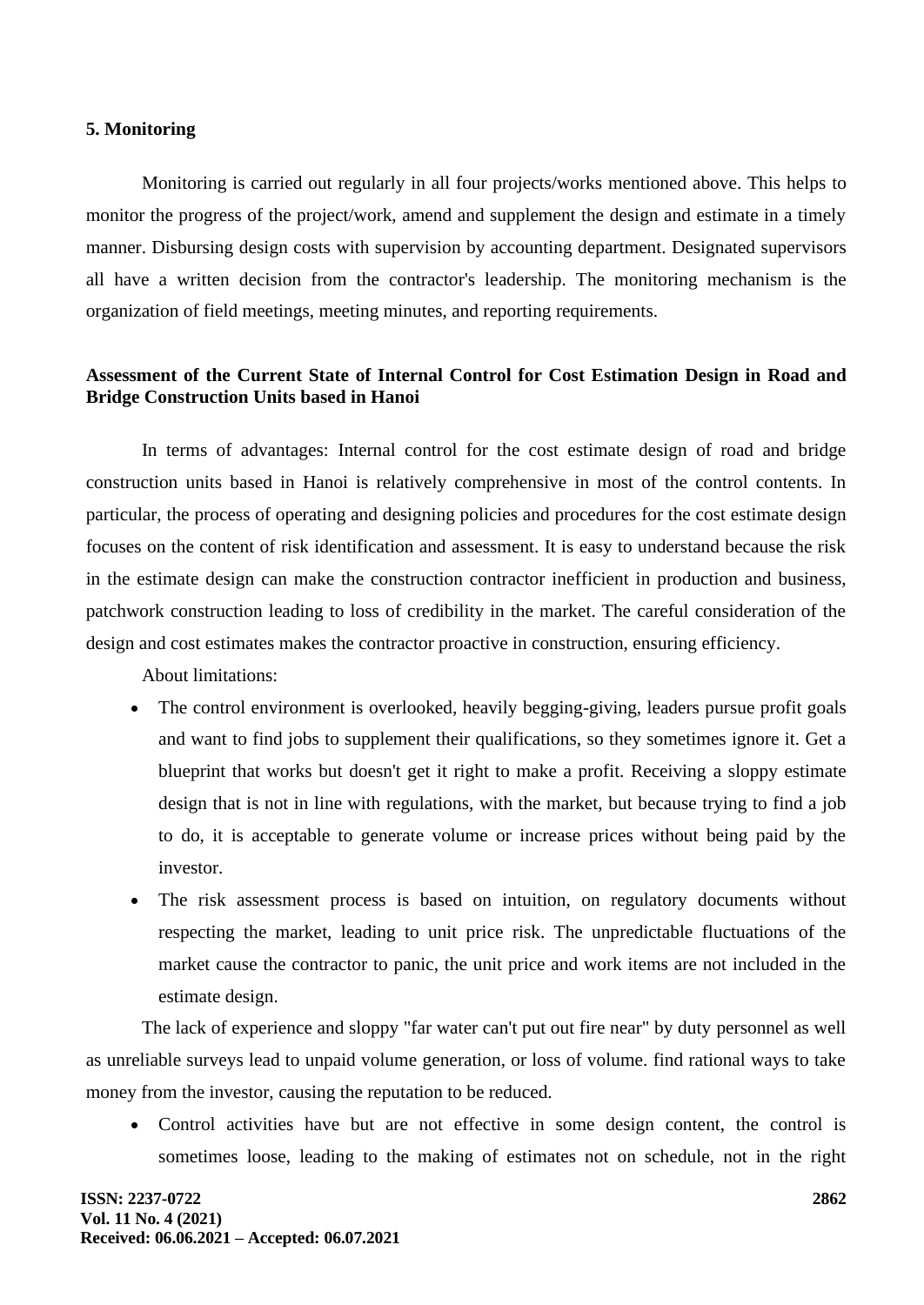#### **5. Monitoring**

Monitoring is carried out regularly in all four projects/works mentioned above. This helps to monitor the progress of the project/work, amend and supplement the design and estimate in a timely manner. Disbursing design costs with supervision by accounting department. Designated supervisors all have a written decision from the contractor's leadership. The monitoring mechanism is the organization of field meetings, meeting minutes, and reporting requirements.

## **Assessment of the Current State of Internal Control for Cost Estimation Design in Road and Bridge Construction Units based in Hanoi**

In terms of advantages: Internal control for the cost estimate design of road and bridge construction units based in Hanoi is relatively comprehensive in most of the control contents. In particular, the process of operating and designing policies and procedures for the cost estimate design focuses on the content of risk identification and assessment. It is easy to understand because the risk in the estimate design can make the construction contractor inefficient in production and business, patchwork construction leading to loss of credibility in the market. The careful consideration of the design and cost estimates makes the contractor proactive in construction, ensuring efficiency.

About limitations:

- The control environment is overlooked, heavily begging-giving, leaders pursue profit goals and want to find jobs to supplement their qualifications, so they sometimes ignore it. Get a blueprint that works but doesn't get it right to make a profit. Receiving a sloppy estimate design that is not in line with regulations, with the market, but because trying to find a job to do, it is acceptable to generate volume or increase prices without being paid by the investor.
- The risk assessment process is based on intuition, on regulatory documents without respecting the market, leading to unit price risk. The unpredictable fluctuations of the market cause the contractor to panic, the unit price and work items are not included in the estimate design.

The lack of experience and sloppy "far water can't put out fire near" by duty personnel as well as unreliable surveys lead to unpaid volume generation, or loss of volume. find rational ways to take money from the investor, causing the reputation to be reduced.

• Control activities have but are not effective in some design content, the control is sometimes loose, leading to the making of estimates not on schedule, not in the right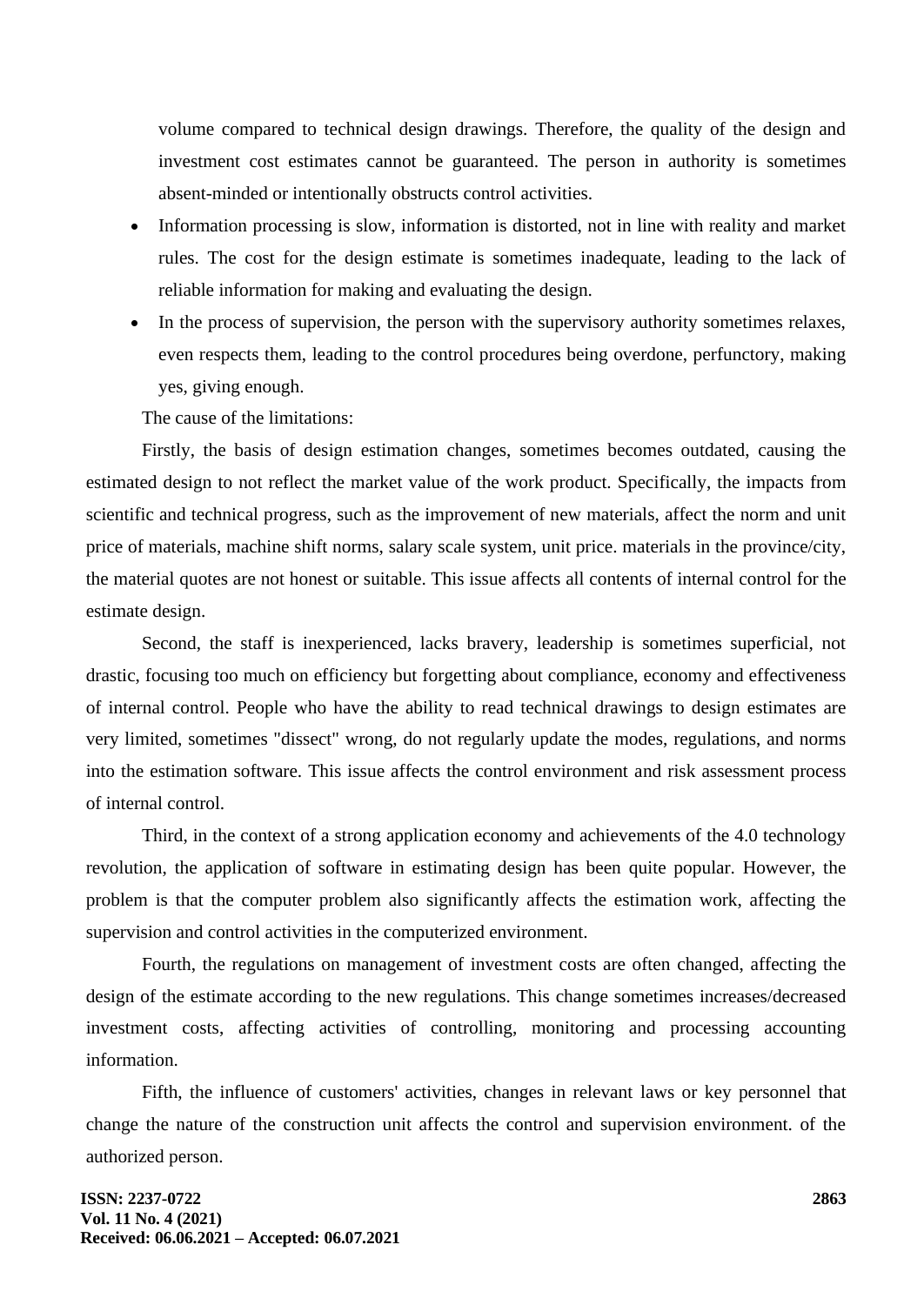volume compared to technical design drawings. Therefore, the quality of the design and investment cost estimates cannot be guaranteed. The person in authority is sometimes absent-minded or intentionally obstructs control activities.

- Information processing is slow, information is distorted, not in line with reality and market rules. The cost for the design estimate is sometimes inadequate, leading to the lack of reliable information for making and evaluating the design.
- In the process of supervision, the person with the supervisory authority sometimes relaxes, even respects them, leading to the control procedures being overdone, perfunctory, making yes, giving enough.

The cause of the limitations:

Firstly, the basis of design estimation changes, sometimes becomes outdated, causing the estimated design to not reflect the market value of the work product. Specifically, the impacts from scientific and technical progress, such as the improvement of new materials, affect the norm and unit price of materials, machine shift norms, salary scale system, unit price. materials in the province/city, the material quotes are not honest or suitable. This issue affects all contents of internal control for the estimate design.

Second, the staff is inexperienced, lacks bravery, leadership is sometimes superficial, not drastic, focusing too much on efficiency but forgetting about compliance, economy and effectiveness of internal control. People who have the ability to read technical drawings to design estimates are very limited, sometimes "dissect" wrong, do not regularly update the modes, regulations, and norms into the estimation software. This issue affects the control environment and risk assessment process of internal control.

Third, in the context of a strong application economy and achievements of the 4.0 technology revolution, the application of software in estimating design has been quite popular. However, the problem is that the computer problem also significantly affects the estimation work, affecting the supervision and control activities in the computerized environment.

Fourth, the regulations on management of investment costs are often changed, affecting the design of the estimate according to the new regulations. This change sometimes increases/decreased investment costs, affecting activities of controlling, monitoring and processing accounting information.

Fifth, the influence of customers' activities, changes in relevant laws or key personnel that change the nature of the construction unit affects the control and supervision environment. of the authorized person.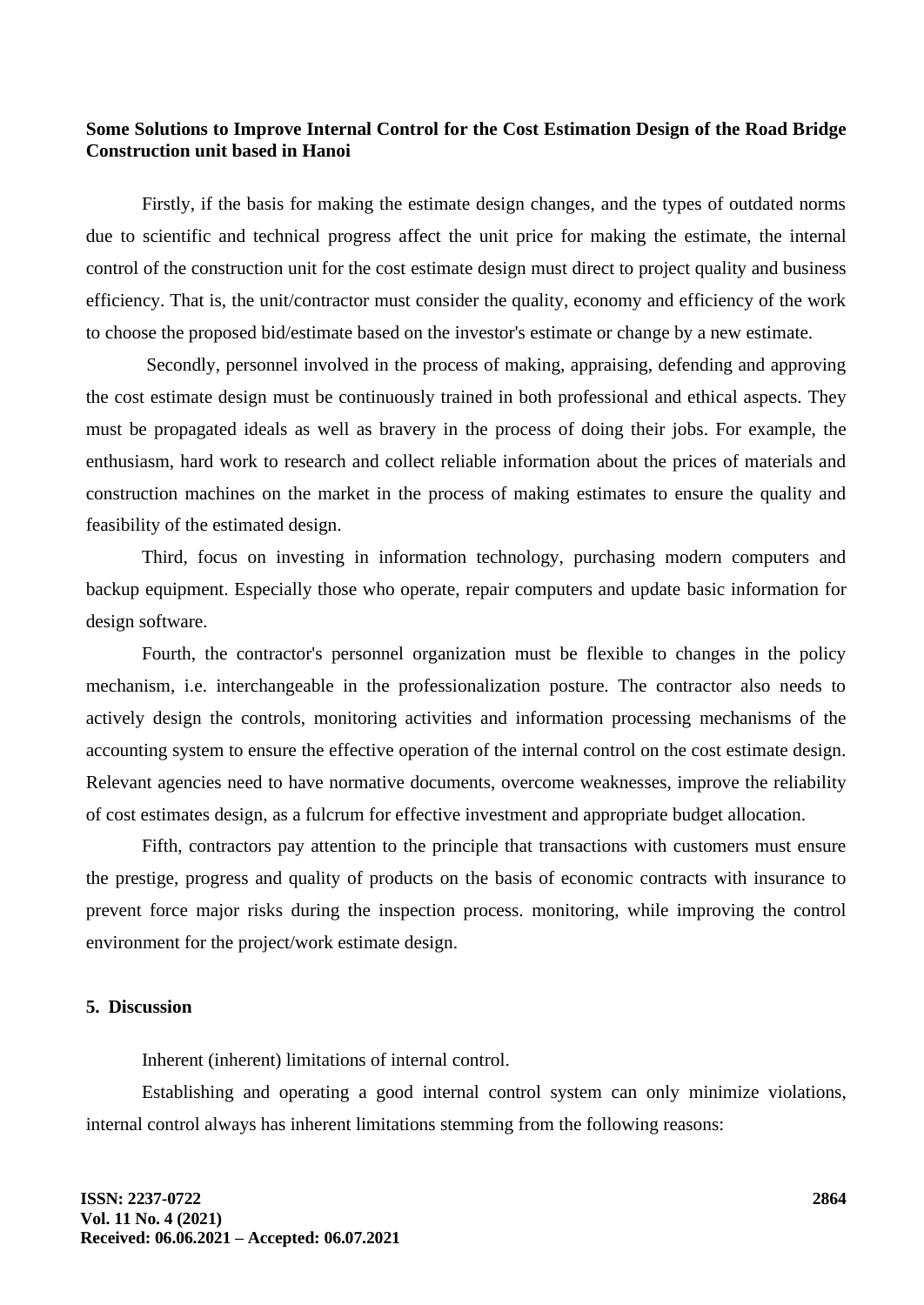## **Some Solutions to Improve Internal Control for the Cost Estimation Design of the Road Bridge Construction unit based in Hanoi**

Firstly, if the basis for making the estimate design changes, and the types of outdated norms due to scientific and technical progress affect the unit price for making the estimate, the internal control of the construction unit for the cost estimate design must direct to project quality and business efficiency. That is, the unit/contractor must consider the quality, economy and efficiency of the work to choose the proposed bid/estimate based on the investor's estimate or change by a new estimate.

Secondly, personnel involved in the process of making, appraising, defending and approving the cost estimate design must be continuously trained in both professional and ethical aspects. They must be propagated ideals as well as bravery in the process of doing their jobs. For example, the enthusiasm, hard work to research and collect reliable information about the prices of materials and construction machines on the market in the process of making estimates to ensure the quality and feasibility of the estimated design.

Third, focus on investing in information technology, purchasing modern computers and backup equipment. Especially those who operate, repair computers and update basic information for design software.

Fourth, the contractor's personnel organization must be flexible to changes in the policy mechanism, i.e. interchangeable in the professionalization posture. The contractor also needs to actively design the controls, monitoring activities and information processing mechanisms of the accounting system to ensure the effective operation of the internal control on the cost estimate design. Relevant agencies need to have normative documents, overcome weaknesses, improve the reliability of cost estimates design, as a fulcrum for effective investment and appropriate budget allocation.

Fifth, contractors pay attention to the principle that transactions with customers must ensure the prestige, progress and quality of products on the basis of economic contracts with insurance to prevent force major risks during the inspection process. monitoring, while improving the control environment for the project/work estimate design.

#### **5. Discussion**

Inherent (inherent) limitations of internal control.

Establishing and operating a good internal control system can only minimize violations, internal control always has inherent limitations stemming from the following reasons: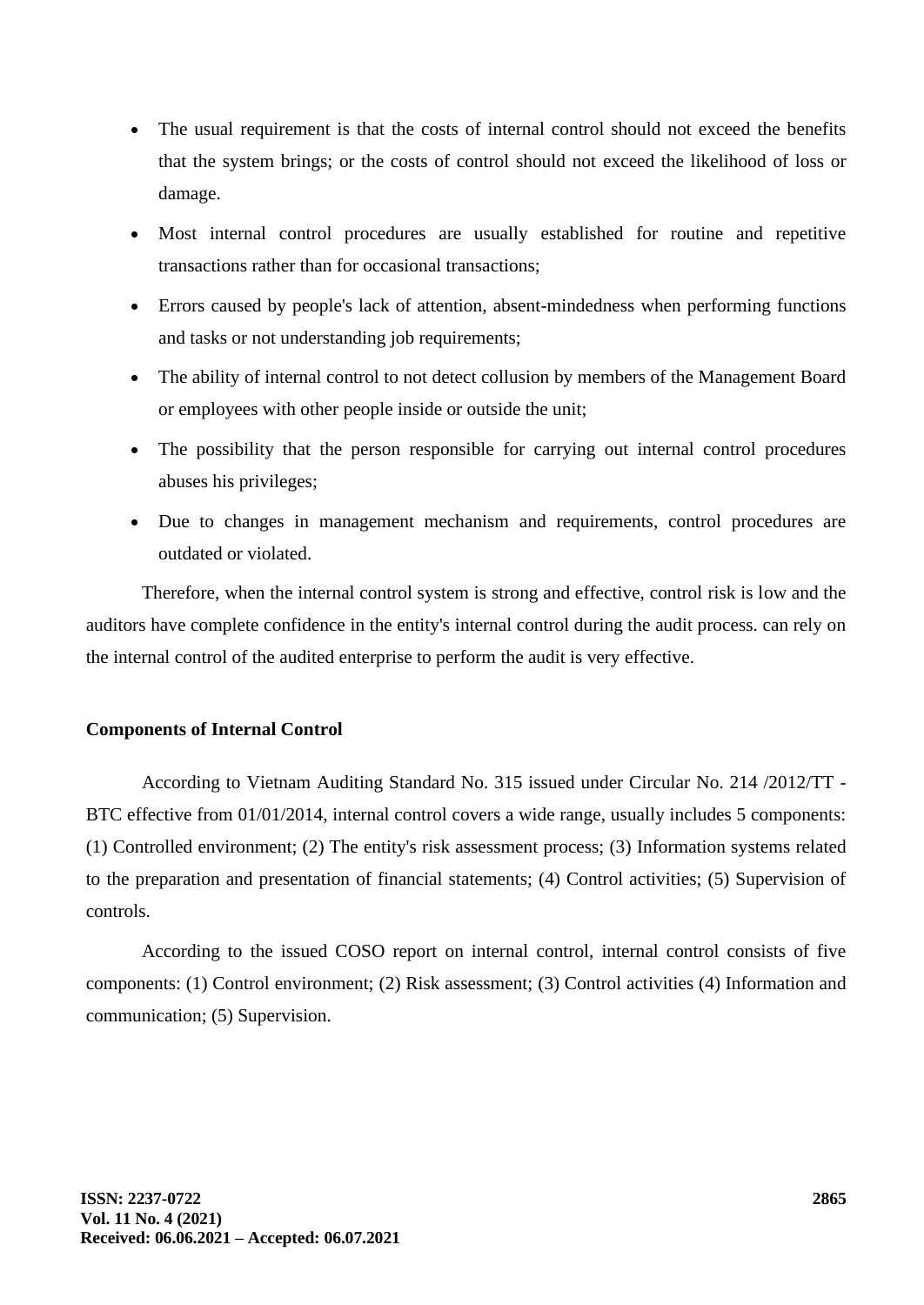- The usual requirement is that the costs of internal control should not exceed the benefits that the system brings; or the costs of control should not exceed the likelihood of loss or damage.
- Most internal control procedures are usually established for routine and repetitive transactions rather than for occasional transactions;
- Errors caused by people's lack of attention, absent-mindedness when performing functions and tasks or not understanding job requirements;
- The ability of internal control to not detect collusion by members of the Management Board or employees with other people inside or outside the unit;
- The possibility that the person responsible for carrying out internal control procedures abuses his privileges;
- Due to changes in management mechanism and requirements, control procedures are outdated or violated.

Therefore, when the internal control system is strong and effective, control risk is low and the auditors have complete confidence in the entity's internal control during the audit process. can rely on the internal control of the audited enterprise to perform the audit is very effective.

## **Components of Internal Control**

According to Vietnam Auditing Standard No. 315 issued under Circular No. 214 /2012/TT - BTC effective from 01/01/2014, internal control covers a wide range, usually includes 5 components: (1) Controlled environment; (2) The entity's risk assessment process; (3) Information systems related to the preparation and presentation of financial statements; (4) Control activities; (5) Supervision of controls.

According to the issued COSO report on internal control, internal control consists of five components: (1) Control environment; (2) Risk assessment; (3) Control activities (4) Information and communication; (5) Supervision.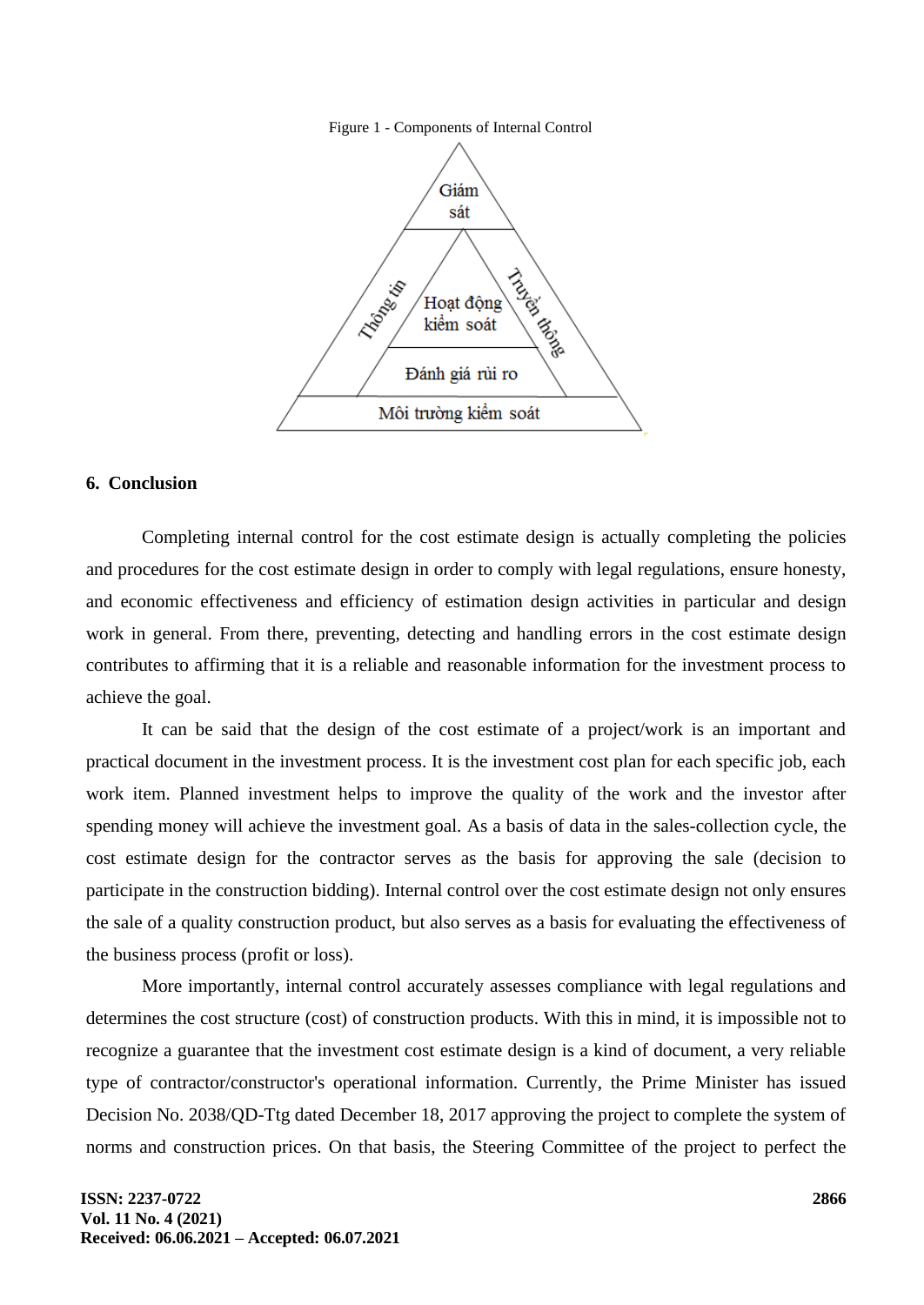



## **6. Conclusion**

Completing internal control for the cost estimate design is actually completing the policies and procedures for the cost estimate design in order to comply with legal regulations, ensure honesty, and economic effectiveness and efficiency of estimation design activities in particular and design work in general. From there, preventing, detecting and handling errors in the cost estimate design contributes to affirming that it is a reliable and reasonable information for the investment process to achieve the goal.

It can be said that the design of the cost estimate of a project/work is an important and practical document in the investment process. It is the investment cost plan for each specific job, each work item. Planned investment helps to improve the quality of the work and the investor after spending money will achieve the investment goal. As a basis of data in the sales-collection cycle, the cost estimate design for the contractor serves as the basis for approving the sale (decision to participate in the construction bidding). Internal control over the cost estimate design not only ensures the sale of a quality construction product, but also serves as a basis for evaluating the effectiveness of the business process (profit or loss).

More importantly, internal control accurately assesses compliance with legal regulations and determines the cost structure (cost) of construction products. With this in mind, it is impossible not to recognize a guarantee that the investment cost estimate design is a kind of document, a very reliable type of contractor/constructor's operational information. Currently, the Prime Minister has issued Decision No. 2038/QD-Ttg dated December 18, 2017 approving the project to complete the system of norms and construction prices. On that basis, the Steering Committee of the project to perfect the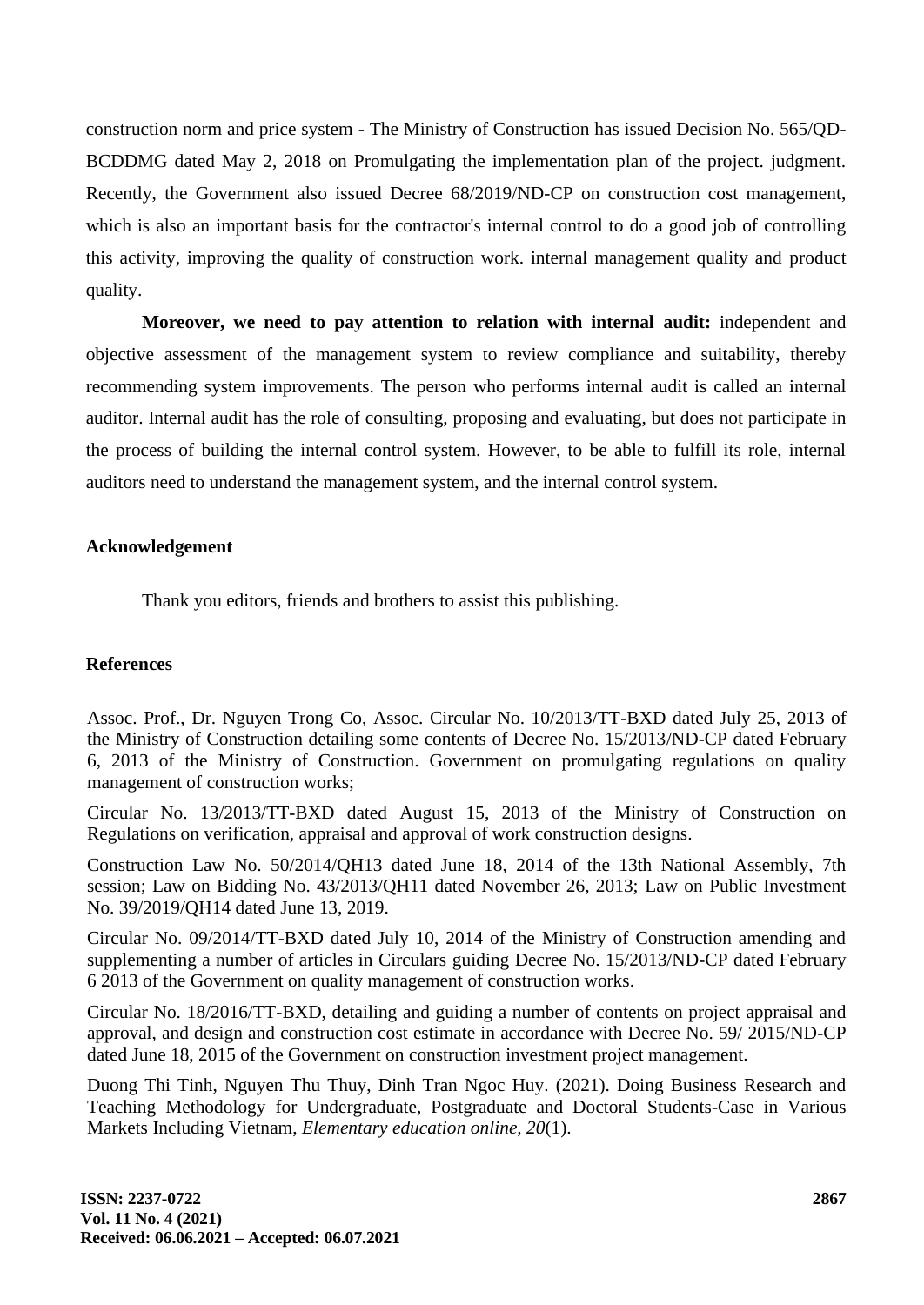construction norm and price system - The Ministry of Construction has issued Decision No. 565/QD-BCDDMG dated May 2, 2018 on Promulgating the implementation plan of the project. judgment. Recently, the Government also issued Decree 68/2019/ND-CP on construction cost management, which is also an important basis for the contractor's internal control to do a good job of controlling this activity, improving the quality of construction work. internal management quality and product quality.

**Moreover, we need to pay attention to relation with internal audit:** independent and objective assessment of the management system to review compliance and suitability, thereby recommending system improvements. The person who performs internal audit is called an internal auditor. Internal audit has the role of consulting, proposing and evaluating, but does not participate in the process of building the internal control system. However, to be able to fulfill its role, internal auditors need to understand the management system, and the internal control system.

## **Acknowledgement**

Thank you editors, friends and brothers to assist this publishing.

## **References**

Assoc. Prof., Dr. Nguyen Trong Co, Assoc. Circular No. 10/2013/TT-BXD dated July 25, 2013 of the Ministry of Construction detailing some contents of Decree No. 15/2013/ND-CP dated February 6, 2013 of the Ministry of Construction. Government on promulgating regulations on quality management of construction works;

Circular No. 13/2013/TT-BXD dated August 15, 2013 of the Ministry of Construction on Regulations on verification, appraisal and approval of work construction designs.

Construction Law No. 50/2014/QH13 dated June 18, 2014 of the 13th National Assembly, 7th session; Law on Bidding No. 43/2013/QH11 dated November 26, 2013; Law on Public Investment No. 39/2019/QH14 dated June 13, 2019.

Circular No. 09/2014/TT-BXD dated July 10, 2014 of the Ministry of Construction amending and supplementing a number of articles in Circulars guiding Decree No. 15/2013/ND-CP dated February 6 2013 of the Government on quality management of construction works.

Circular No. 18/2016/TT-BXD, detailing and guiding a number of contents on project appraisal and approval, and design and construction cost estimate in accordance with Decree No. 59/ 2015/ND-CP dated June 18, 2015 of the Government on construction investment project management.

Duong Thi Tinh, Nguyen Thu Thuy, Dinh Tran Ngoc Huy. (2021). Doing Business Research and Teaching Methodology for Undergraduate, Postgraduate and Doctoral Students-Case in Various Markets Including Vietnam, *Elementary education online, 20*(1).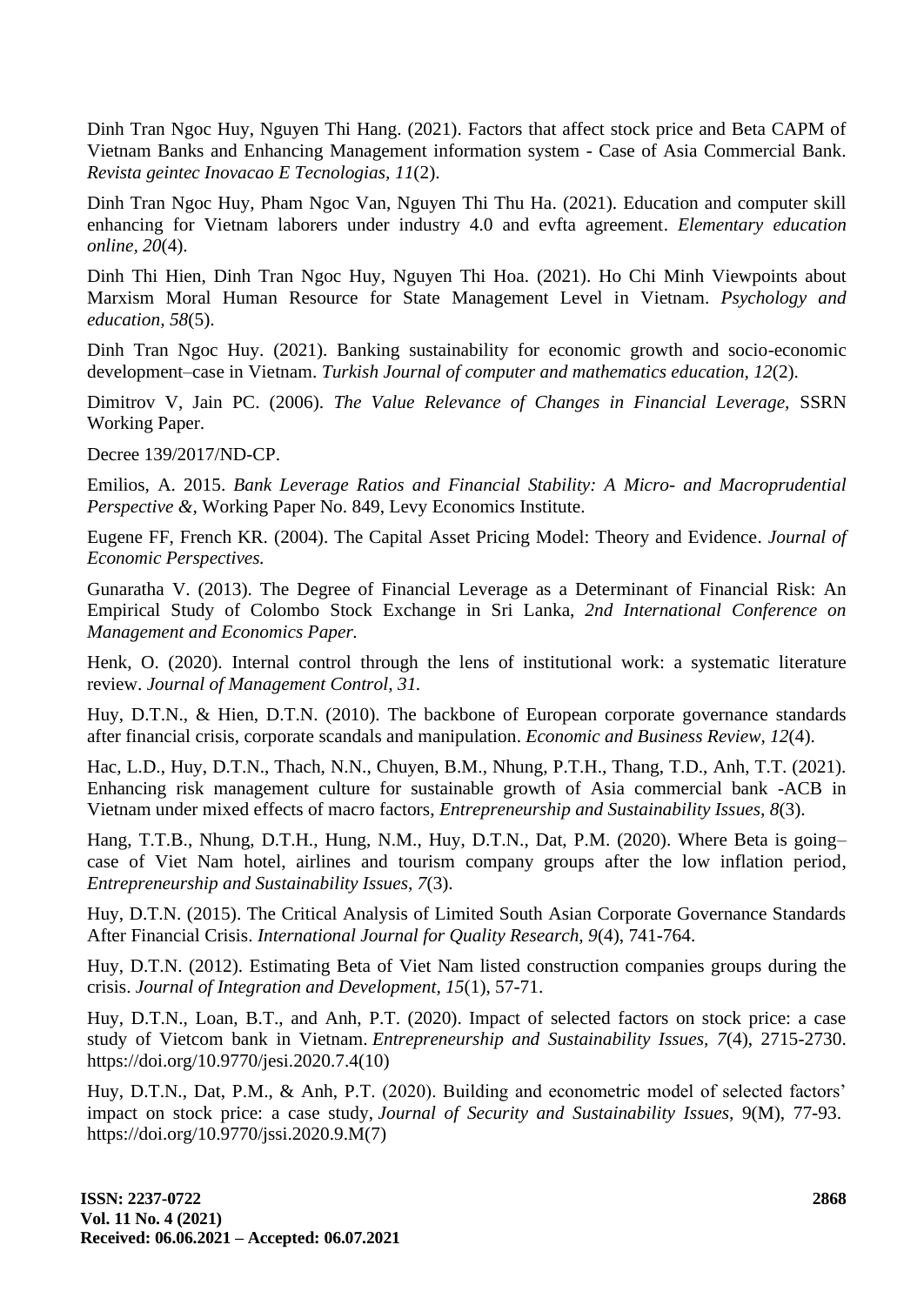Dinh Tran Ngoc Huy, Nguyen Thi Hang. (2021). Factors that affect stock price and Beta CAPM of Vietnam Banks and Enhancing Management information system - Case of Asia Commercial Bank. *Revista geintec Inovacao E Tecnologias, 11*(2).

Dinh Tran Ngoc Huy, Pham Ngoc Van, Nguyen Thi Thu Ha. (2021). Education and computer skill enhancing for Vietnam laborers under industry 4.0 and evfta agreement. *Elementary education online, 20*(4).

Dinh Thi Hien, Dinh Tran Ngoc Huy, Nguyen Thi Hoa. (2021). Ho Chi Minh Viewpoints about Marxism Moral Human Resource for State Management Level in Vietnam. *Psychology and education, 58*(5).

Dinh Tran Ngoc Huy. (2021). Banking sustainability for economic growth and socio-economic development–case in Vietnam. *Turkish Journal of computer and mathematics education, 12*(2).

Dimitrov V, Jain PC. (2006). *The Value Relevance of Changes in Financial Leverage,* SSRN Working Paper.

Decree 139/2017/ND-CP.

Emilios, A. 2015. *Bank Leverage Ratios and Financial Stability: A Micro- and Macroprudential Perspective &,* Working Paper No. 849, Levy Economics Institute.

Eugene FF, French KR. (2004). The Capital Asset Pricing Model: Theory and Evidence. *Journal of Economic Perspectives.*

Gunaratha V. (2013). The Degree of Financial Leverage as a Determinant of Financial Risk: An Empirical Study of Colombo Stock Exchange in Sri Lanka, *2nd International Conference on Management and Economics Paper.*

Henk, O. (2020). Internal control through the lens of institutional work: a systematic literature review. *Journal of Management Control, 31.*

Huy, D.T.N., & Hien, D.T.N. (2010). The backbone of European corporate governance standards after financial crisis, corporate scandals and manipulation. *Economic and Business Review, 12*(4).

Hac, L.D., Huy, D.T.N., Thach, N.N., Chuyen, B.M., Nhung, P.T.H., Thang, T.D., Anh, T.T. (2021). Enhancing risk management culture for sustainable growth of Asia commercial bank -ACB in Vietnam under mixed effects of macro factors, *Entrepreneurship and Sustainability Issues, 8*(3).

Hang, T.T.B., Nhung, D.T.H., Hung, N.M., Huy, D.T.N., Dat, P.M. (2020). Where Beta is going– case of Viet Nam hotel, airlines and tourism company groups after the low inflation period, *Entrepreneurship and Sustainability Issues, 7*(3).

Huy, D.T.N. (2015). The Critical Analysis of Limited South Asian Corporate Governance Standards After Financial Crisis. *International Journal for Quality Research, 9*(4), 741-764.

Huy, D.T.N. (2012). Estimating Beta of Viet Nam listed construction companies groups during the crisis. *Journal of Integration and Development, 15*(1), 57-71.

Huy, D.T.N., Loan, B.T., and Anh, P.T. (2020). Impact of selected factors on stock price: a case study of Vietcom bank in Vietnam. *Entrepreneurship and Sustainability Issues, 7*(4), 2715-2730. https://doi.org/10.9770/jesi.2020.7.4(10)

Huy, D.T.N., Dat, P.M., & Anh, P.T. (2020). Building and econometric model of selected factors' impact on stock price: a case study, *Journal of Security and Sustainability Issues,* 9(M), 77-93. https://doi.org/10.9770/jssi.2020.9.M(7)